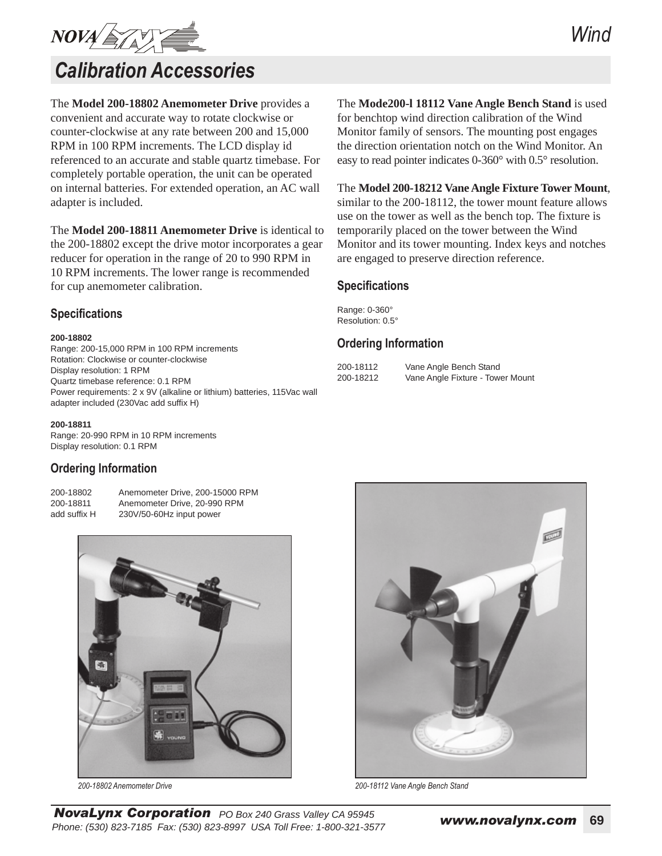

# *Calibration Accessories*

The **Model 200-18802 Anemometer Drive** provides a convenient and accurate way to rotate clockwise or counter-clockwise at any rate between 200 and 15,000 RPM in 100 RPM increments. The LCD display id referenced to an accurate and stable quartz timebase. For completely portable operation, the unit can be operated on internal batteries. For extended operation, an AC wall adapter is included.

The **Model 200-18811 Anemometer Drive** is identical to the 200-18802 except the drive motor incorporates a gear reducer for operation in the range of 20 to 990 RPM in 10 RPM increments. The lower range is recommended for cup anemometer calibration.

## **Specifications**

#### **200-18802**

Range: 200-15,000 RPM in 100 RPM increments Rotation: Clockwise or counter-clockwise Display resolution: 1 RPM Quartz timebase reference: 0.1 RPM Power requirements: 2 x 9V (alkaline or lithium) batteries, 115Vac wall adapter included (230Vac add suffix H)

#### **200-18811**

Range: 20-990 RPM in 10 RPM increments Display resolution: 0.1 RPM

### **Ordering Information**

200-18802 Anemometer Drive, 200-15000 RPM 200-18811 Anemometer Drive, 20-990 RPM add suffix H 230V/50-60Hz input power



The **Mode200-l 18112 Vane Angle Bench Stand** is used for benchtop wind direction calibration of the Wind Monitor family of sensors. The mounting post engages the direction orientation notch on the Wind Monitor. An easy to read pointer indicates 0-360° with 0.5° resolution.

#### The **Model 200-18212 Vane Angle Fixture Tower Mount**,

similar to the 200-18112, the tower mount feature allows use on the tower as well as the bench top. The fixture is temporarily placed on the tower between the Wind Monitor and its tower mounting. Index keys and notches are engaged to preserve direction reference.

#### **Specifications**

Range: 0-360° Resolution: 0.5°

### **Ordering Information**

| 200-18112 |  |
|-----------|--|
| 200-18212 |  |

Vane Angle Bench Stand Vane Angle Fixture - Tower Mount



*200-18802 Anemometer Drive 200-18112 Vane Angle Bench Stand*